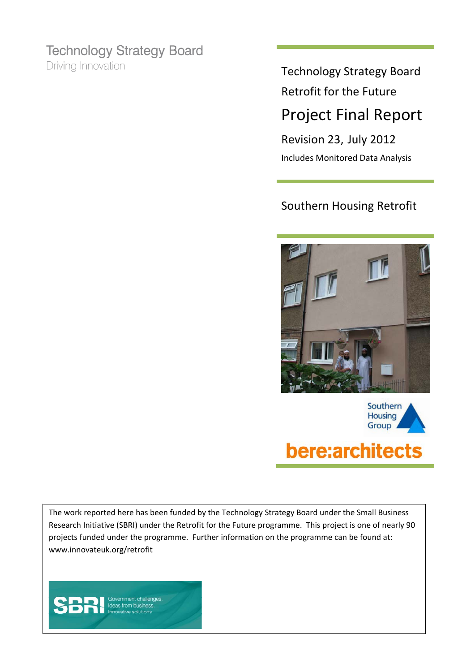### **Technology Strategy Board**

Driving Innovation

### Technology Strategy Board Retrofit for the Future Project Final Report

Revision 23, July 2012 Includes Monitored Data Analysis

### Southern Housing Retrofit





### bere:architects

The work reported here has been funded by the Technology Strategy Board under the Small Business Research Initiative (SBRI) under the Retrofit for the Future programme. This project is one of nearly 90 projects funded under the programme. Further information on the programme can be found at: www.innovateuk.org/retrofit

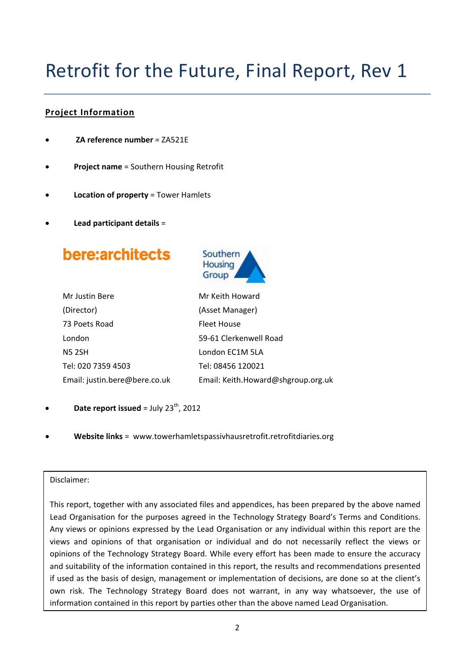# Retrofit for the Future, Final Report, Rev 1

#### **Project Information**

- **ZA reference number** = ZA521E
- **Project name** = Southern Housing Retrofit
- **Location of property** = Tower Hamlets
- **Lead participant details** =

bere:architects



| Mr Justin Bere                |  |
|-------------------------------|--|
| (Director)                    |  |
| 73 Poets Road                 |  |
| London                        |  |
| <b>N5 2SH</b>                 |  |
| Tel: 020 7359 4503            |  |
| Email: justin.bere@bere.co.uk |  |

Mr Keith Howard (Asset Manager) Fleet House 59‐61 Clerkenwell Road London EC1M 5LA Tel: 08456 120021 Email: Keith.Howard@shgroup.org.uk

- **Date report issued** = July  $23^{th}$ , 2012
- **Website links** = www.towerhamletspassivhausretrofit.retrofitdiaries.org

#### Disclaimer:

This report, together with any associated files and appendices, has been prepared by the above named Lead Organisation for the purposes agreed in the Technology Strategy Board's Terms and Conditions. Any views or opinions expressed by the Lead Organisation or any individual within this report are the views and opinions of that organisation or individual and do not necessarily reflect the views or opinions of the Technology Strategy Board. While every effort has been made to ensure the accuracy and suitability of the information contained in this report, the results and recommendations presented if used as the basis of design, management or implementation of decisions, are done so at the client's own risk. The Technology Strategy Board does not warrant, in any way whatsoever, the use of information contained in this report by parties other than the above named Lead Organisation.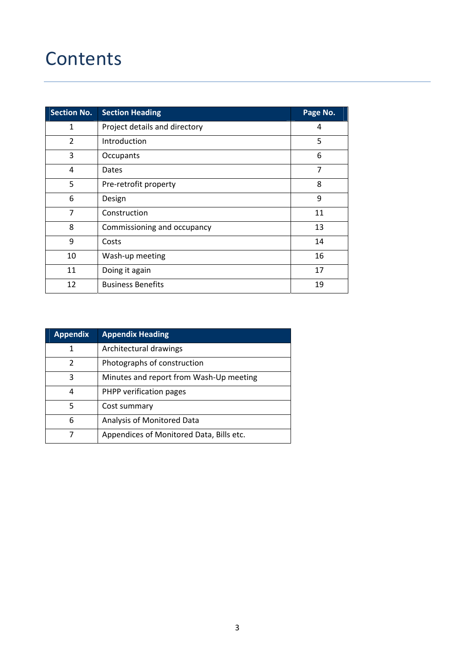### **Contents**

| <b>Section No.</b> | <b>Section Heading</b>        | Page No. |
|--------------------|-------------------------------|----------|
| $\mathbf 1$        | Project details and directory | 4        |
| $\overline{2}$     | Introduction                  | 5        |
| 3                  | Occupants                     | 6        |
| 4                  | Dates                         | 7        |
| 5                  | Pre-retrofit property         | 8        |
| 6                  | Design                        | 9        |
| 7                  | Construction                  | 11       |
| 8                  | Commissioning and occupancy   | 13       |
| 9                  | Costs                         | 14       |
| 10                 | Wash-up meeting               | 16       |
| 11                 | Doing it again                | 17       |
| 12                 | <b>Business Benefits</b>      | 19       |

| <b>Appendix</b> | <b>Appendix Heading</b>                  |  |  |  |
|-----------------|------------------------------------------|--|--|--|
| 1               | Architectural drawings                   |  |  |  |
| 2               | Photographs of construction              |  |  |  |
| 3               | Minutes and report from Wash-Up meeting  |  |  |  |
| 4               | PHPP verification pages                  |  |  |  |
| 5               | Cost summary                             |  |  |  |
| 6               | Analysis of Monitored Data               |  |  |  |
| 7               | Appendices of Monitored Data, Bills etc. |  |  |  |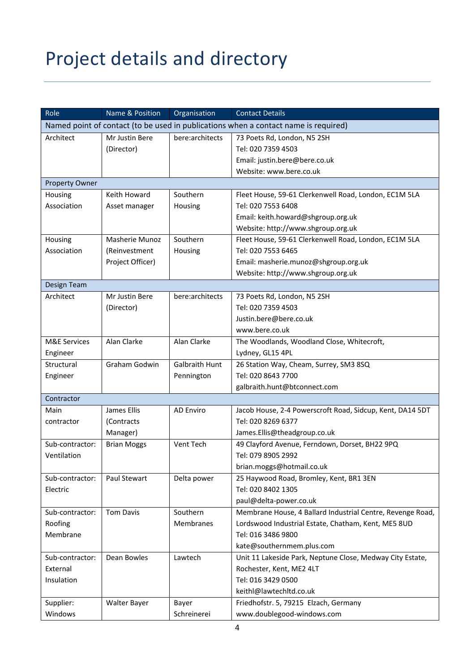# Project details and directory

| Role                                                                                | Name & Position       | Organisation          | <b>Contact Details</b>                                     |  |
|-------------------------------------------------------------------------------------|-----------------------|-----------------------|------------------------------------------------------------|--|
| Named point of contact (to be used in publications when a contact name is required) |                       |                       |                                                            |  |
| Architect                                                                           | Mr Justin Bere        | bere:architects       | 73 Poets Rd, London, N5 2SH                                |  |
|                                                                                     | (Director)            |                       | Tel: 020 7359 4503                                         |  |
|                                                                                     |                       |                       | Email: justin.bere@bere.co.uk                              |  |
|                                                                                     |                       |                       | Website: www.bere.co.uk                                    |  |
| <b>Property Owner</b>                                                               |                       |                       |                                                            |  |
| Housing                                                                             | Keith Howard          | Southern              | Fleet House, 59-61 Clerkenwell Road, London, EC1M 5LA      |  |
| Association                                                                         | Asset manager         | Housing               | Tel: 020 7553 6408                                         |  |
|                                                                                     |                       |                       | Email: keith.howard@shgroup.org.uk                         |  |
|                                                                                     |                       |                       | Website: http://www.shgroup.org.uk                         |  |
| Housing                                                                             | <b>Masherie Munoz</b> | Southern              | Fleet House, 59-61 Clerkenwell Road, London, EC1M 5LA      |  |
| Association                                                                         | (Reinvestment         | Housing               | Tel: 020 7553 6465                                         |  |
|                                                                                     | Project Officer)      |                       | Email: masherie.munoz@shgroup.org.uk                       |  |
|                                                                                     |                       |                       | Website: http://www.shgroup.org.uk                         |  |
| Design Team                                                                         |                       |                       |                                                            |  |
| Architect                                                                           | Mr Justin Bere        | bere:architects       | 73 Poets Rd, London, N5 2SH                                |  |
|                                                                                     | (Director)            |                       | Tel: 020 7359 4503                                         |  |
|                                                                                     |                       |                       | Justin.bere@bere.co.uk                                     |  |
|                                                                                     |                       |                       | www.bere.co.uk                                             |  |
| <b>M&amp;E Services</b>                                                             | Alan Clarke           | Alan Clarke           | The Woodlands, Woodland Close, Whitecroft,                 |  |
| Engineer                                                                            |                       |                       | Lydney, GL15 4PL                                           |  |
| Structural                                                                          | Graham Godwin         | <b>Galbraith Hunt</b> | 26 Station Way, Cheam, Surrey, SM3 8SQ                     |  |
| Engineer                                                                            |                       | Pennington            | Tel: 020 8643 7700                                         |  |
|                                                                                     |                       |                       | galbraith.hunt@btconnect.com                               |  |
| Contractor                                                                          |                       |                       |                                                            |  |
| Main                                                                                | James Ellis           | AD Enviro             | Jacob House, 2-4 Powerscroft Road, Sidcup, Kent, DA14 5DT  |  |
| contractor                                                                          | (Contracts            |                       | Tel: 020 8269 6377                                         |  |
|                                                                                     | Manager)              |                       | James.Ellis@theadgroup.co.uk                               |  |
| Sub-contractor:                                                                     | <b>Brian Moggs</b>    | Vent Tech             | 49 Clayford Avenue, Ferndown, Dorset, BH22 9PQ             |  |
| Ventilation                                                                         |                       |                       | Tel: 079 8905 2992                                         |  |
|                                                                                     |                       |                       | brian.moggs@hotmail.co.uk                                  |  |
| Sub-contractor:                                                                     | Paul Stewart          | Delta power           | 25 Haywood Road, Bromley, Kent, BR1 3EN                    |  |
| Electric                                                                            |                       |                       | Tel: 020 8402 1305                                         |  |
|                                                                                     |                       |                       | paul@delta-power.co.uk                                     |  |
| Sub-contractor:                                                                     | <b>Tom Davis</b>      | Southern              | Membrane House, 4 Ballard Industrial Centre, Revenge Road, |  |
| Roofing                                                                             |                       | Membranes             | Lordswood Industrial Estate, Chatham, Kent, ME5 8UD        |  |
| Membrane                                                                            |                       |                       | Tel: 016 3486 9800                                         |  |
|                                                                                     |                       |                       | kate@southernmem.plus.com                                  |  |
| Sub-contractor:                                                                     | Dean Bowles           | Lawtech               | Unit 11 Lakeside Park, Neptune Close, Medway City Estate,  |  |
| External                                                                            |                       |                       | Rochester, Kent, ME2 4LT                                   |  |
| Insulation                                                                          |                       |                       | Tel: 016 3429 0500                                         |  |
|                                                                                     |                       |                       | keithl@lawtechltd.co.uk                                    |  |
| Supplier:                                                                           | <b>Walter Bayer</b>   | Bayer                 | Friedhofstr. 5, 79215 Elzach, Germany                      |  |
| Windows                                                                             |                       | Schreinerei           | www.doublegood-windows.com                                 |  |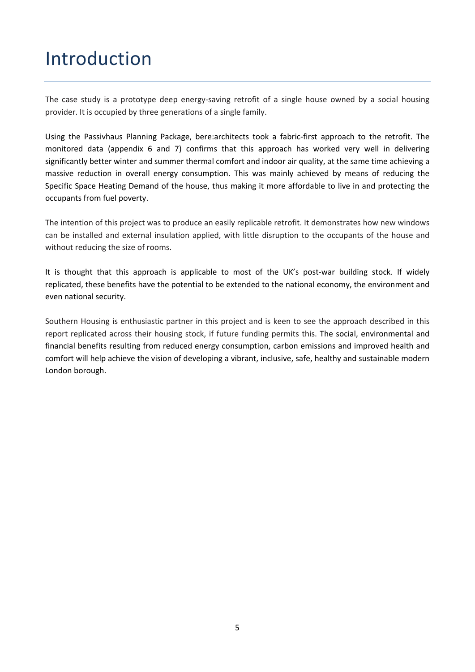### Introduction

The case study is a prototype deep energy-saving retrofit of a single house owned by a social housing provider. It is occupied by three generations of a single family.

Using the Passivhaus Planning Package, bere:architects took a fabric‐first approach to the retrofit. The monitored data (appendix 6 and 7) confirms that this approach has worked very well in delivering significantly better winter and summer thermal comfort and indoor air quality, at the same time achieving a massive reduction in overall energy consumption. This was mainly achieved by means of reducing the Specific Space Heating Demand of the house, thus making it more affordable to live in and protecting the occupants from fuel poverty.

The intention of this project was to produce an easily replicable retrofit. It demonstrates how new windows can be installed and external insulation applied, with little disruption to the occupants of the house and without reducing the size of rooms.

It is thought that this approach is applicable to most of the UK's post-war building stock. If widely replicated, these benefits have the potential to be extended to the national economy, the environment and even national security.

Southern Housing is enthusiastic partner in this project and is keen to see the approach described in this report replicated across their housing stock, if future funding permits this. The social, environmental and financial benefits resulting from reduced energy consumption, carbon emissions and improved health and comfort will help achieve the vision of developing a vibrant, inclusive, safe, healthy and sustainable modern London borough.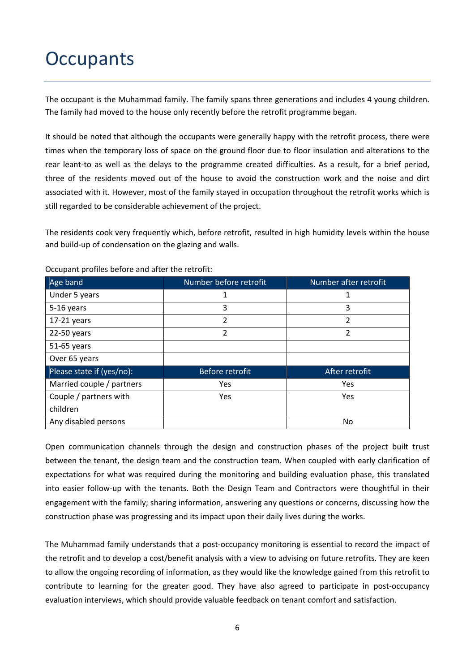### **Occupants**

The occupant is the Muhammad family. The family spans three generations and includes 4 young children. The family had moved to the house only recently before the retrofit programme began.

It should be noted that although the occupants were generally happy with the retrofit process, there were times when the temporary loss of space on the ground floor due to floor insulation and alterations to the rear leant‐to as well as the delays to the programme created difficulties. As a result, for a brief period, three of the residents moved out of the house to avoid the construction work and the noise and dirt associated with it. However, most of the family stayed in occupation throughout the retrofit works which is still regarded to be considerable achievement of the project.

The residents cook very frequently which, before retrofit, resulted in high humidity levels within the house and build‐up of condensation on the glazing and walls.

| Age band                  | Number before retrofit | Number after retrofit |  |
|---------------------------|------------------------|-----------------------|--|
| Under 5 years             | 1                      |                       |  |
| 5-16 years                | 3                      | 3                     |  |
| $17-21$ years             | 2                      | $\overline{2}$        |  |
| 22-50 years               | $\overline{2}$         | $\overline{2}$        |  |
| 51-65 years               |                        |                       |  |
| Over 65 years             |                        |                       |  |
| Please state if (yes/no): | <b>Before retrofit</b> | After retrofit        |  |
| Married couple / partners | <b>Yes</b>             | Yes                   |  |
| Couple / partners with    | <b>Yes</b>             | Yes                   |  |
| children                  |                        |                       |  |
| Any disabled persons      |                        | No.                   |  |

Occupant profiles before and after the retrofit:

Open communication channels through the design and construction phases of the project built trust between the tenant, the design team and the construction team. When coupled with early clarification of expectations for what was required during the monitoring and building evaluation phase, this translated into easier follow-up with the tenants. Both the Design Team and Contractors were thoughtful in their engagement with the family; sharing information, answering any questions or concerns, discussing how the construction phase was progressing and its impact upon their daily lives during the works.

The Muhammad family understands that a post-occupancy monitoring is essential to record the impact of the retrofit and to develop a cost/benefit analysis with a view to advising on future retrofits. They are keen to allow the ongoing recording of information, as they would like the knowledge gained from this retrofit to contribute to learning for the greater good. They have also agreed to participate in post-occupancy evaluation interviews, which should provide valuable feedback on tenant comfort and satisfaction.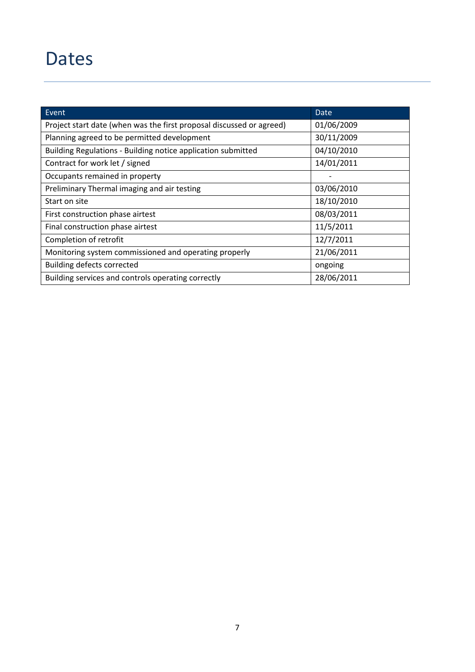### Dates

| $\overline{\phantom{a}}$ Event                                       | <b>Date</b> |
|----------------------------------------------------------------------|-------------|
| Project start date (when was the first proposal discussed or agreed) | 01/06/2009  |
| Planning agreed to be permitted development                          | 30/11/2009  |
| Building Regulations - Building notice application submitted         | 04/10/2010  |
| Contract for work let / signed                                       | 14/01/2011  |
| Occupants remained in property                                       |             |
| Preliminary Thermal imaging and air testing                          | 03/06/2010  |
| Start on site                                                        | 18/10/2010  |
| First construction phase airtest                                     | 08/03/2011  |
| Final construction phase airtest                                     | 11/5/2011   |
| Completion of retrofit                                               | 12/7/2011   |
| Monitoring system commissioned and operating properly                | 21/06/2011  |
| <b>Building defects corrected</b>                                    | ongoing     |
| Building services and controls operating correctly                   | 28/06/2011  |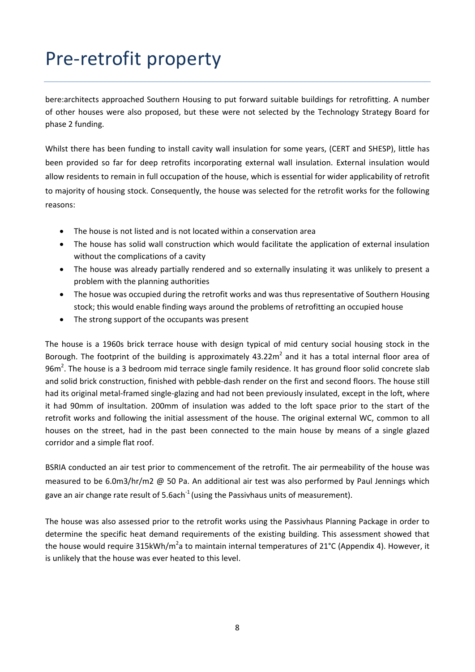# Pre‐retrofit property

bere:architects approached Southern Housing to put forward suitable buildings for retrofitting. A number of other houses were also proposed, but these were not selected by the Technology Strategy Board for phase 2 funding.

Whilst there has been funding to install cavity wall insulation for some years, (CERT and SHESP), little has been provided so far for deep retrofits incorporating external wall insulation. External insulation would allow residents to remain in full occupation of the house, which is essential for wider applicability of retrofit to majority of housing stock. Consequently, the house was selected for the retrofit works for the following reasons:

- The house is not listed and is not located within a conservation area
- The house has solid wall construction which would facilitate the application of external insulation without the complications of a cavity
- The house was already partially rendered and so externally insulating it was unlikely to present a problem with the planning authorities
- The hosue was occupied during the retrofit works and was thus representative of Southern Housing stock; this would enable finding ways around the problems of retrofitting an occupied house
- The strong support of the occupants was present

The house is a 1960s brick terrace house with design typical of mid century social housing stock in the Borough. The footprint of the building is approximately  $43.22m^2$  and it has a total internal floor area of 96m<sup>2</sup>. The house is a 3 bedroom mid terrace single family residence. It has ground floor solid concrete slab and solid brick construction, finished with pebble‐dash render on the first and second floors. The house still had its original metal‐framed single‐glazing and had not been previously insulated, except in the loft, where it had 90mm of insultation. 200mm of insulation was added to the loft space prior to the start of the retrofit works and following the initial assessment of the house. The original external WC, common to all houses on the street, had in the past been connected to the main house by means of a single glazed corridor and a simple flat roof.

BSRIA conducted an air test prior to commencement of the retrofit. The air permeability of the house was measured to be 6.0m3/hr/m2 @ 50 Pa. An additional air test was also performed by Paul Jennings which gave an air change rate result of 5.6ach<sup>-1</sup> (using the Passivhaus units of measurement).

The house was also assessed prior to the retrofit works using the Passivhaus Planning Package in order to determine the specific heat demand requirements of the existing building. This assessment showed that the house would require 315kWh/m<sup>2</sup>a to maintain internal temperatures of 21°C (Appendix 4). However, it is unlikely that the house was ever heated to this level.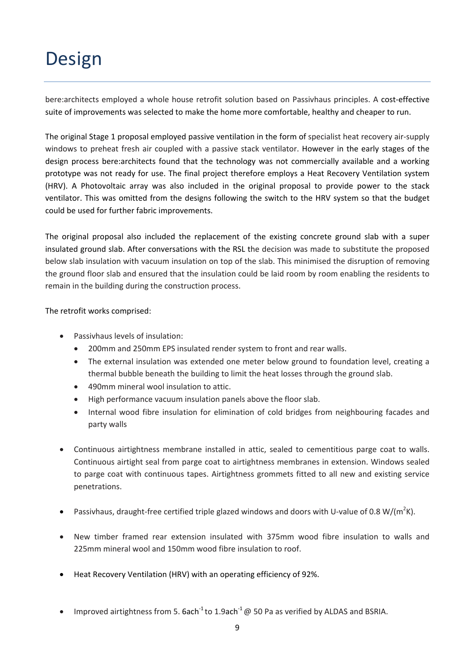### Design

bere:architects employed a whole house retrofit solution based on Passivhaus principles. A cost-effective suite of improvements was selected to make the home more comfortable, healthy and cheaper to run.

The original Stage 1 proposal employed passive ventilation in the form of specialist heat recovery air‐supply windows to preheat fresh air coupled with a passive stack ventilator. However in the early stages of the design process bere:architects found that the technology was not commercially available and a working prototype was not ready for use. The final project therefore employs a Heat Recovery Ventilation system (HRV). A Photovoltaic array was also included in the original proposal to provide power to the stack ventilator. This was omitted from the designs following the switch to the HRV system so that the budget could be used for further fabric improvements.

The original proposal also included the replacement of the existing concrete ground slab with a super insulated ground slab. After conversations with the RSL the decision was made to substitute the proposed below slab insulation with vacuum insulation on top of the slab. This minimised the disruption of removing the ground floor slab and ensured that the insulation could be laid room by room enabling the residents to remain in the building during the construction process.

The retrofit works comprised:

- Passivhaus levels of insulation:
	- 200mm and 250mm EPS insulated render system to front and rear walls.
	- The external insulation was extended one meter below ground to foundation level, creating a thermal bubble beneath the building to limit the heat losses through the ground slab.
	- 490mm mineral wool insulation to attic.
	- High performance vacuum insulation panels above the floor slab.
	- Internal wood fibre insulation for elimination of cold bridges from neighbouring facades and party walls
- Continuous airtightness membrane installed in attic, sealed to cementitious parge coat to walls. Continuous airtight seal from parge coat to airtightness membranes in extension. Windows sealed to parge coat with continuous tapes. Airtightness grommets fitted to all new and existing service penetrations.
- Passivhaus, draught-free certified triple glazed windows and doors with U-value of 0.8 W/(m<sup>2</sup>K).
- New timber framed rear extension insulated with 375mm wood fibre insulation to walls and 225mm mineral wool and 150mm wood fibre insulation to roof.
- Heat Recovery Ventilation (HRV) with an operating efficiency of 92%.
- Improved airtightness from 5. 6ach<sup>-1</sup> to 1.9ach<sup>-1</sup> @ 50 Pa as verified by ALDAS and BSRIA.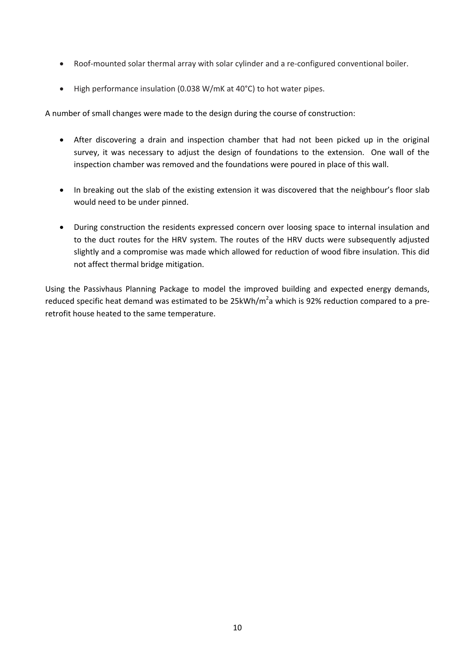- Roof-mounted solar thermal array with solar cylinder and a re-configured conventional boiler.
- High performance insulation (0.038 W/mK at 40°C) to hot water pipes.

A number of small changes were made to the design during the course of construction:

- After discovering a drain and inspection chamber that had not been picked up in the original survey, it was necessary to adjust the design of foundations to the extension. One wall of the inspection chamber was removed and the foundations were poured in place of this wall.
- In breaking out the slab of the existing extension it was discovered that the neighbour's floor slab would need to be under pinned.
- During construction the residents expressed concern over loosing space to internal insulation and to the duct routes for the HRV system. The routes of the HRV ducts were subsequently adjusted slightly and a compromise was made which allowed for reduction of wood fibre insulation. This did not affect thermal bridge mitigation.

Using the Passivhaus Planning Package to model the improved building and expected energy demands, reduced specific heat demand was estimated to be 25kWh/m<sup>2</sup>a which is 92% reduction compared to a preretrofit house heated to the same temperature.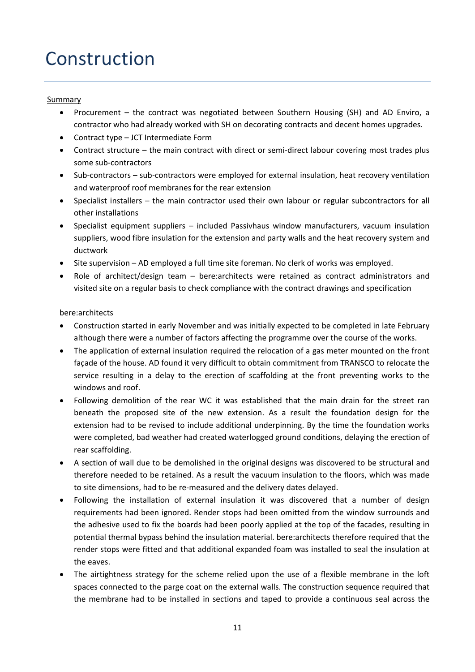# Construction

#### Summary

- Procurement the contract was negotiated between Southern Housing (SH) and AD Enviro, a contractor who had already worked with SH on decorating contracts and decent homes upgrades.
- Contract type JCT Intermediate Form
- Contract structure the main contract with direct or semi-direct labour covering most trades plus some sub‐contractors
- Sub-contractors sub-contractors were employed for external insulation, heat recovery ventilation and waterproof roof membranes for the rear extension
- Specialist installers the main contractor used their own labour or regular subcontractors for all other installations
- Specialist equipment suppliers included Passivhaus window manufacturers, vacuum insulation suppliers, wood fibre insulation for the extension and party walls and the heat recovery system and ductwork
- Site supervision AD employed a full time site foreman. No clerk of works was employed.
- Role of architect/design team bere:architects were retained as contract administrators and visited site on a regular basis to check compliance with the contract drawings and specification

#### bere:architects

- Construction started in early November and was initially expected to be completed in late February although there were a number of factors affecting the programme over the course of the works.
- The application of external insulation required the relocation of a gas meter mounted on the front façade of the house. AD found it very difficult to obtain commitment from TRANSCO to relocate the service resulting in a delay to the erection of scaffolding at the front preventing works to the windows and roof.
- Following demolition of the rear WC it was established that the main drain for the street ran beneath the proposed site of the new extension. As a result the foundation design for the extension had to be revised to include additional underpinning. By the time the foundation works were completed, bad weather had created waterlogged ground conditions, delaying the erection of rear scaffolding.
- A section of wall due to be demolished in the original designs was discovered to be structural and therefore needed to be retained. As a result the vacuum insulation to the floors, which was made to site dimensions, had to be re‐measured and the delivery dates delayed.
- Following the installation of external insulation it was discovered that a number of design requirements had been ignored. Render stops had been omitted from the window surrounds and the adhesive used to fix the boards had been poorly applied at the top of the facades, resulting in potential thermal bypass behind the insulation material. bere:architects therefore required that the render stops were fitted and that additional expanded foam was installed to seal the insulation at the eaves.
- The airtightness strategy for the scheme relied upon the use of a flexible membrane in the loft spaces connected to the parge coat on the external walls. The construction sequence required that the membrane had to be installed in sections and taped to provide a continuous seal across the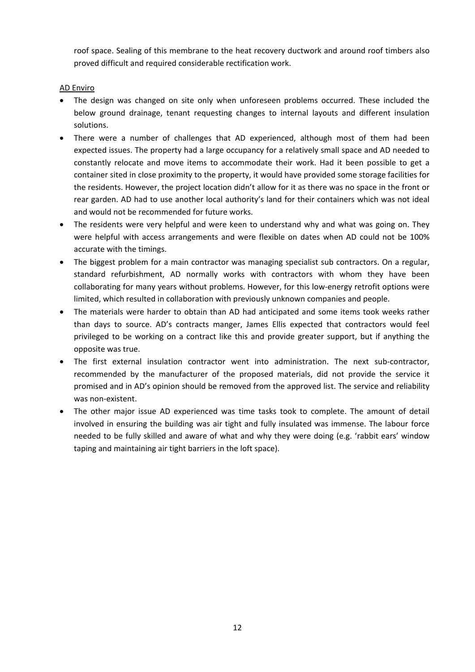roof space. Sealing of this membrane to the heat recovery ductwork and around roof timbers also proved difficult and required considerable rectification work.

#### AD Enviro

- The design was changed on site only when unforeseen problems occurred. These included the below ground drainage, tenant requesting changes to internal layouts and different insulation solutions.
- There were a number of challenges that AD experienced, although most of them had been expected issues. The property had a large occupancy for a relatively small space and AD needed to constantly relocate and move items to accommodate their work. Had it been possible to get a container sited in close proximity to the property, it would have provided some storage facilities for the residents. However, the project location didn't allow for it as there was no space in the front or rear garden. AD had to use another local authority's land for their containers which was not ideal and would not be recommended for future works.
- The residents were very helpful and were keen to understand why and what was going on. They were helpful with access arrangements and were flexible on dates when AD could not be 100% accurate with the timings.
- The biggest problem for a main contractor was managing specialist sub contractors. On a regular, standard refurbishment, AD normally works with contractors with whom they have been collaborating for many years without problems. However, for this low-energy retrofit options were limited, which resulted in collaboration with previously unknown companies and people.
- The materials were harder to obtain than AD had anticipated and some items took weeks rather than days to source. AD's contracts manger, James Ellis expected that contractors would feel privileged to be working on a contract like this and provide greater support, but if anything the opposite was true.
- The first external insulation contractor went into administration. The next sub‐contractor, recommended by the manufacturer of the proposed materials, did not provide the service it promised and in AD's opinion should be removed from the approved list. The service and reliability was non‐existent.
- The other major issue AD experienced was time tasks took to complete. The amount of detail involved in ensuring the building was air tight and fully insulated was immense. The labour force needed to be fully skilled and aware of what and why they were doing (e.g. 'rabbit ears' window taping and maintaining air tight barriers in the loft space).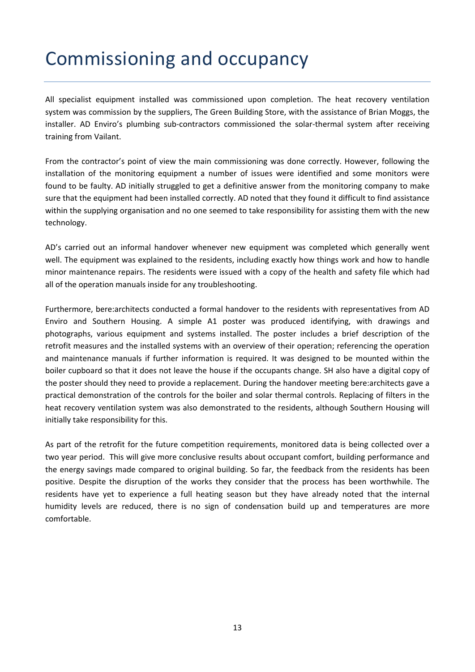# Commissioning and occupancy

All specialist equipment installed was commissioned upon completion. The heat recovery ventilation system was commission by the suppliers, The Green Building Store, with the assistance of Brian Moggs, the installer. AD Enviro's plumbing sub-contractors commissioned the solar-thermal system after receiving training from Vailant.

From the contractor's point of view the main commissioning was done correctly. However, following the installation of the monitoring equipment a number of issues were identified and some monitors were found to be faulty. AD initially struggled to get a definitive answer from the monitoring company to make sure that the equipment had been installed correctly. AD noted that they found it difficult to find assistance within the supplying organisation and no one seemed to take responsibility for assisting them with the new technology.

AD's carried out an informal handover whenever new equipment was completed which generally went well. The equipment was explained to the residents, including exactly how things work and how to handle minor maintenance repairs. The residents were issued with a copy of the health and safety file which had all of the operation manuals inside for any troubleshooting.

Furthermore, bere:architects conducted a formal handover to the residents with representatives from AD Enviro and Southern Housing. A simple A1 poster was produced identifying, with drawings and photographs, various equipment and systems installed. The poster includes a brief description of the retrofit measures and the installed systems with an overview of their operation; referencing the operation and maintenance manuals if further information is required. It was designed to be mounted within the boiler cupboard so that it does not leave the house if the occupants change. SH also have a digital copy of the poster should they need to provide a replacement. During the handover meeting bere:architects gave a practical demonstration of the controls for the boiler and solar thermal controls. Replacing of filters in the heat recovery ventilation system was also demonstrated to the residents, although Southern Housing will initially take responsibility for this.

As part of the retrofit for the future competition requirements, monitored data is being collected over a two year period. This will give more conclusive results about occupant comfort, building performance and the energy savings made compared to original building. So far, the feedback from the residents has been positive. Despite the disruption of the works they consider that the process has been worthwhile. The residents have yet to experience a full heating season but they have already noted that the internal humidity levels are reduced, there is no sign of condensation build up and temperatures are more comfortable.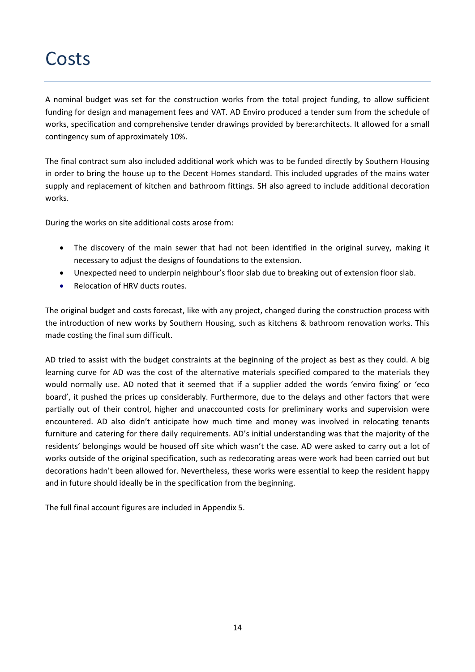### Costs

A nominal budget was set for the construction works from the total project funding, to allow sufficient funding for design and management fees and VAT. AD Enviro produced a tender sum from the schedule of works, specification and comprehensive tender drawings provided by bere:architects. It allowed for a small contingency sum of approximately 10%.

The final contract sum also included additional work which was to be funded directly by Southern Housing in order to bring the house up to the Decent Homes standard. This included upgrades of the mains water supply and replacement of kitchen and bathroom fittings. SH also agreed to include additional decoration works.

During the works on site additional costs arose from:

- The discovery of the main sewer that had not been identified in the original survey, making it necessary to adjust the designs of foundations to the extension.
- Unexpected need to underpin neighbour's floor slab due to breaking out of extension floor slab.
- Relocation of HRV ducts routes.

The original budget and costs forecast, like with any project, changed during the construction process with the introduction of new works by Southern Housing, such as kitchens & bathroom renovation works. This made costing the final sum difficult.

AD tried to assist with the budget constraints at the beginning of the project as best as they could. A big learning curve for AD was the cost of the alternative materials specified compared to the materials they would normally use. AD noted that it seemed that if a supplier added the words 'enviro fixing' or 'eco board', it pushed the prices up considerably. Furthermore, due to the delays and other factors that were partially out of their control, higher and unaccounted costs for preliminary works and supervision were encountered. AD also didn't anticipate how much time and money was involved in relocating tenants furniture and catering for there daily requirements. AD's initial understanding was that the majority of the residents' belongings would be housed off site which wasn't the case. AD were asked to carry out a lot of works outside of the original specification, such as redecorating areas were work had been carried out but decorations hadn't been allowed for. Nevertheless, these works were essential to keep the resident happy and in future should ideally be in the specification from the beginning.

The full final account figures are included in Appendix 5.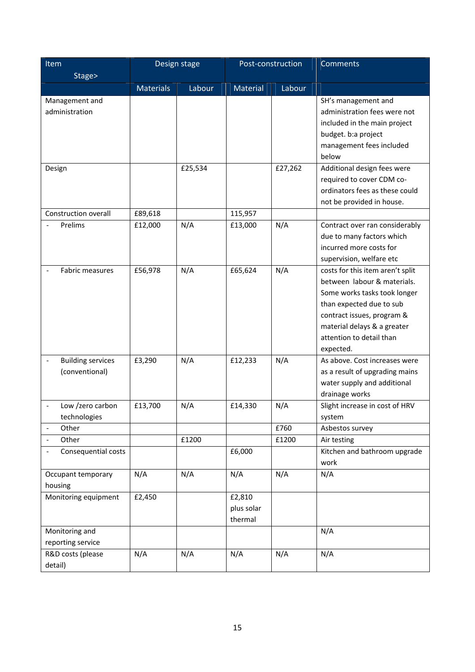| Item                                       |                  | Design stage | Post-construction               |         | <b>Comments</b>                                                                                                                                                                                                                   |
|--------------------------------------------|------------------|--------------|---------------------------------|---------|-----------------------------------------------------------------------------------------------------------------------------------------------------------------------------------------------------------------------------------|
| Stage>                                     |                  |              |                                 |         |                                                                                                                                                                                                                                   |
|                                            | <b>Materials</b> | Labour       | Material                        | Labour  |                                                                                                                                                                                                                                   |
| Management and<br>administration           |                  |              |                                 |         | SH's management and<br>administration fees were not<br>included in the main project<br>budget. b:a project<br>management fees included<br>below                                                                                   |
| Design                                     |                  | £25,534      |                                 | £27,262 | Additional design fees were<br>required to cover CDM co-<br>ordinators fees as these could<br>not be provided in house.                                                                                                           |
| Construction overall                       | £89,618          |              | 115,957                         |         |                                                                                                                                                                                                                                   |
| Prelims                                    | £12,000          | N/A          | £13,000                         | N/A     | Contract over ran considerably<br>due to many factors which<br>incurred more costs for<br>supervision, welfare etc                                                                                                                |
| <b>Fabric measures</b>                     | £56,978          | N/A          | £65,624                         | N/A     | costs for this item aren't split<br>between labour & materials.<br>Some works tasks took longer<br>than expected due to sub<br>contract issues, program &<br>material delays & a greater<br>attention to detail than<br>expected. |
| <b>Building services</b><br>(conventional) | £3,290           | N/A          | £12,233                         | N/A     | As above. Cost increases were<br>as a result of upgrading mains<br>water supply and additional<br>drainage works                                                                                                                  |
| Low /zero carbon<br>technologies           | £13,700          | N/A          | £14,330                         | N/A     | Slight increase in cost of HRV<br>system                                                                                                                                                                                          |
| Other<br>$\blacksquare$                    |                  |              |                                 | £760    | Asbestos survey                                                                                                                                                                                                                   |
| Other<br>$\overline{\phantom{a}}$          |                  | £1200        |                                 | £1200   | Air testing                                                                                                                                                                                                                       |
| Consequential costs                        |                  |              | £6,000                          |         | Kitchen and bathroom upgrade<br>work                                                                                                                                                                                              |
| Occupant temporary<br>housing              | N/A              | N/A          | N/A                             | N/A     | N/A                                                                                                                                                                                                                               |
| Monitoring equipment                       | £2,450           |              | £2,810<br>plus solar<br>thermal |         |                                                                                                                                                                                                                                   |
| Monitoring and<br>reporting service        |                  |              |                                 |         | N/A                                                                                                                                                                                                                               |
| R&D costs (please<br>detail)               | N/A              | N/A          | N/A                             | N/A     | N/A                                                                                                                                                                                                                               |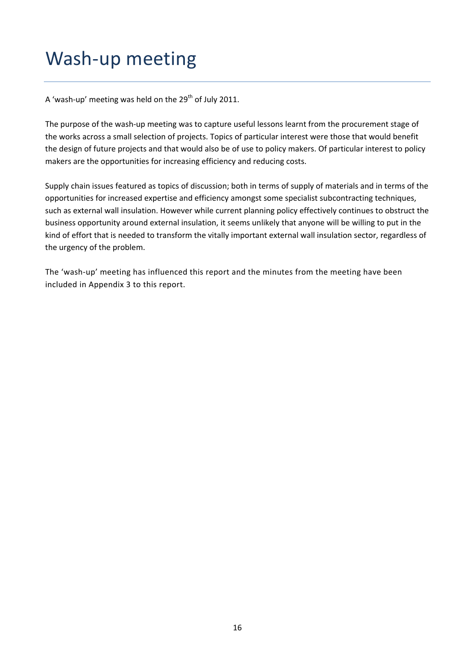### Wash‐up meeting

A 'wash-up' meeting was held on the  $29<sup>th</sup>$  of July 2011.

The purpose of the wash-up meeting was to capture useful lessons learnt from the procurement stage of the works across a small selection of projects. Topics of particular interest were those that would benefit the design of future projects and that would also be of use to policy makers. Of particular interest to policy makers are the opportunities for increasing efficiency and reducing costs.

Supply chain issues featured as topics of discussion; both in terms of supply of materials and in terms of the opportunities for increased expertise and efficiency amongst some specialist subcontracting techniques, such as external wall insulation. However while current planning policy effectively continues to obstruct the business opportunity around external insulation, it seems unlikely that anyone will be willing to put in the kind of effort that is needed to transform the vitally important external wall insulation sector, regardless of the urgency of the problem.

The 'wash‐up' meeting has influenced this report and the minutes from the meeting have been included in Appendix 3 to this report.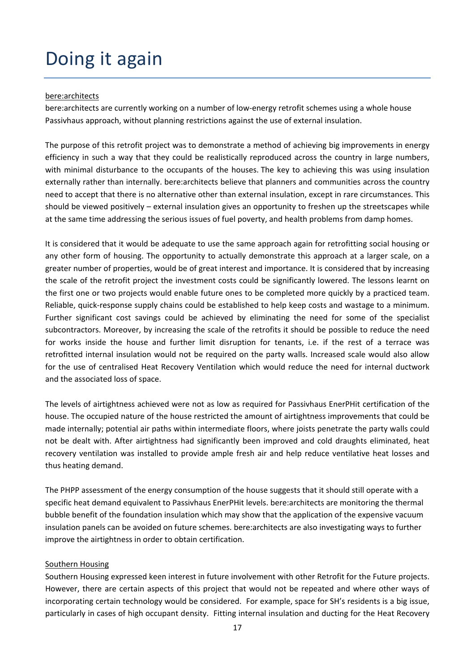# Doing it again

#### bere:architects

bere: architects are currently working on a number of low-energy retrofit schemes using a whole house Passivhaus approach, without planning restrictions against the use of external insulation.

The purpose of this retrofit project was to demonstrate a method of achieving big improvements in energy efficiency in such a way that they could be realistically reproduced across the country in large numbers, with minimal disturbance to the occupants of the houses. The key to achieving this was using insulation externally rather than internally. bere:architects believe that planners and communities across the country need to accept that there is no alternative other than external insulation, except in rare circumstances. This should be viewed positively – external insulation gives an opportunity to freshen up the streetscapes while at the same time addressing the serious issues of fuel poverty, and health problems from damp homes.

It is considered that it would be adequate to use the same approach again for retrofitting social housing or any other form of housing. The opportunity to actually demonstrate this approach at a larger scale, on a greater number of properties, would be of great interest and importance. It is considered that by increasing the scale of the retrofit project the investment costs could be significantly lowered. The lessons learnt on the first one or two projects would enable future ones to be completed more quickly by a practiced team. Reliable, quick‐response supply chains could be established to help keep costs and wastage to a minimum. Further significant cost savings could be achieved by eliminating the need for some of the specialist subcontractors. Moreover, by increasing the scale of the retrofits it should be possible to reduce the need for works inside the house and further limit disruption for tenants, i.e. if the rest of a terrace was retrofitted internal insulation would not be required on the party walls. Increased scale would also allow for the use of centralised Heat Recovery Ventilation which would reduce the need for internal ductwork and the associated loss of space.

The levels of airtightness achieved were not as low as required for Passivhaus EnerPHit certification of the house. The occupied nature of the house restricted the amount of airtightness improvements that could be made internally; potential air paths within intermediate floors, where joists penetrate the party walls could not be dealt with. After airtightness had significantly been improved and cold draughts eliminated, heat recovery ventilation was installed to provide ample fresh air and help reduce ventilative heat losses and thus heating demand.

The PHPP assessment of the energy consumption of the house suggests that it should still operate with a specific heat demand equivalent to Passivhaus EnerPHit levels. bere:architects are monitoring the thermal bubble benefit of the foundation insulation which may show that the application of the expensive vacuum insulation panels can be avoided on future schemes. bere:architects are also investigating ways to further improve the airtightness in order to obtain certification.

#### Southern Housing

Southern Housing expressed keen interest in future involvement with other Retrofit for the Future projects. However, there are certain aspects of this project that would not be repeated and where other ways of incorporating certain technology would be considered. For example, space for SH's residents is a big issue, particularly in cases of high occupant density. Fitting internal insulation and ducting for the Heat Recovery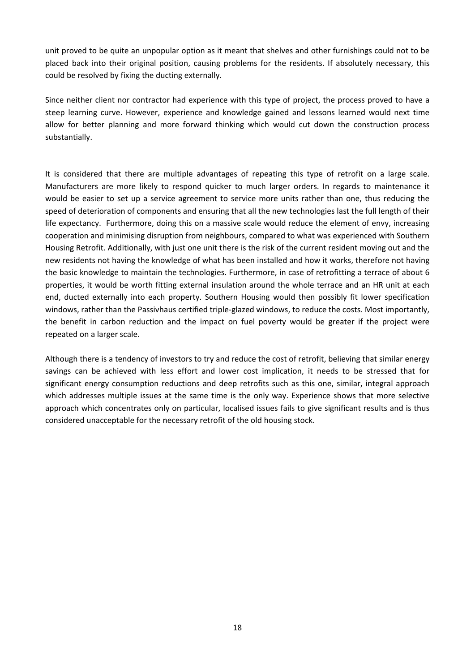unit proved to be quite an unpopular option as it meant that shelves and other furnishings could not to be placed back into their original position, causing problems for the residents. If absolutely necessary, this could be resolved by fixing the ducting externally.

Since neither client nor contractor had experience with this type of project, the process proved to have a steep learning curve. However, experience and knowledge gained and lessons learned would next time allow for better planning and more forward thinking which would cut down the construction process substantially.

It is considered that there are multiple advantages of repeating this type of retrofit on a large scale. Manufacturers are more likely to respond quicker to much larger orders. In regards to maintenance it would be easier to set up a service agreement to service more units rather than one, thus reducing the speed of deterioration of components and ensuring that all the new technologies last the full length of their life expectancy. Furthermore, doing this on a massive scale would reduce the element of envy, increasing cooperation and minimising disruption from neighbours, compared to what was experienced with Southern Housing Retrofit. Additionally, with just one unit there is the risk of the current resident moving out and the new residents not having the knowledge of what has been installed and how it works, therefore not having the basic knowledge to maintain the technologies. Furthermore, in case of retrofitting a terrace of about 6 properties, it would be worth fitting external insulation around the whole terrace and an HR unit at each end, ducted externally into each property. Southern Housing would then possibly fit lower specification windows, rather than the Passivhaus certified triple-glazed windows, to reduce the costs. Most importantly, the benefit in carbon reduction and the impact on fuel poverty would be greater if the project were repeated on a larger scale.

Although there is a tendency of investors to try and reduce the cost of retrofit, believing that similar energy savings can be achieved with less effort and lower cost implication, it needs to be stressed that for significant energy consumption reductions and deep retrofits such as this one, similar, integral approach which addresses multiple issues at the same time is the only way. Experience shows that more selective approach which concentrates only on particular, localised issues fails to give significant results and is thus considered unacceptable for the necessary retrofit of the old housing stock.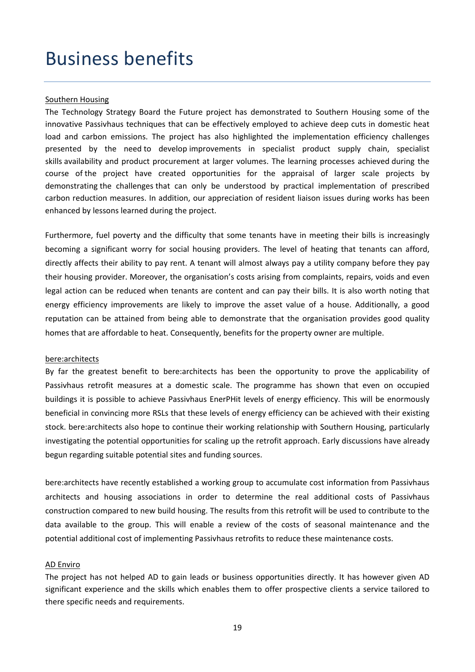### Business benefits

#### Southern Housing

The Technology Strategy Board the Future project has demonstrated to Southern Housing some of the innovative Passivhaus techniques that can be effectively employed to achieve deep cuts in domestic heat load and carbon emissions. The project has also highlighted the implementation efficiency challenges presented by the need to develop improvements in specialist product supply chain, specialist skills availability and product procurement at larger volumes. The learning processes achieved during the course of the project have created opportunities for the appraisal of larger scale projects by demonstrating the challenges that can only be understood by practical implementation of prescribed carbon reduction measures. In addition, our appreciation of resident liaison issues during works has been enhanced by lessons learned during the project.

Furthermore, fuel poverty and the difficulty that some tenants have in meeting their bills is increasingly becoming a significant worry for social housing providers. The level of heating that tenants can afford, directly affects their ability to pay rent. A tenant will almost always pay a utility company before they pay their housing provider. Moreover, the organisation's costs arising from complaints, repairs, voids and even legal action can be reduced when tenants are content and can pay their bills. It is also worth noting that energy efficiency improvements are likely to improve the asset value of a house. Additionally, a good reputation can be attained from being able to demonstrate that the organisation provides good quality homes that are affordable to heat. Consequently, benefits for the property owner are multiple.

#### bere:architects

By far the greatest benefit to bere:architects has been the opportunity to prove the applicability of Passivhaus retrofit measures at a domestic scale. The programme has shown that even on occupied buildings it is possible to achieve Passivhaus EnerPHit levels of energy efficiency. This will be enormously beneficial in convincing more RSLs that these levels of energy efficiency can be achieved with their existing stock. bere:architects also hope to continue their working relationship with Southern Housing, particularly investigating the potential opportunities for scaling up the retrofit approach. Early discussions have already begun regarding suitable potential sites and funding sources.

bere:architects have recently established a working group to accumulate cost information from Passivhaus architects and housing associations in order to determine the real additional costs of Passivhaus construction compared to new build housing. The results from this retrofit will be used to contribute to the data available to the group. This will enable a review of the costs of seasonal maintenance and the potential additional cost of implementing Passivhaus retrofits to reduce these maintenance costs.

#### AD Enviro

The project has not helped AD to gain leads or business opportunities directly. It has however given AD significant experience and the skills which enables them to offer prospective clients a service tailored to there specific needs and requirements.